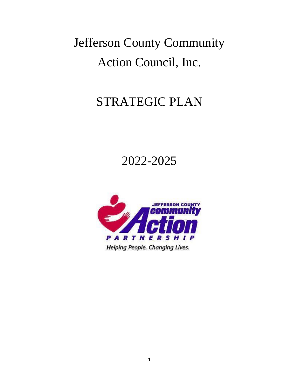# Jefferson County Community Action Council, Inc.

# STRATEGIC PLAN

# 2022-2025

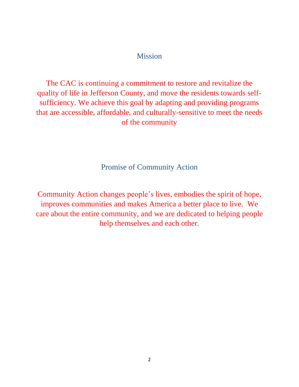### Mission

The CAC is continuing a commitment to restore and revitalize the quality of life in Jefferson County, and move the residents towards selfsufficiency. We achieve this goal by adapting and providing programs that are accessible, affordable, and culturally-sensitive to meet the needs of the community

Promise of Community Action

Community Action changes people's lives, embodies the spirit of hope, improves communities and makes America a better place to live. We care about the entire community, and we are dedicated to helping people help themselves and each other.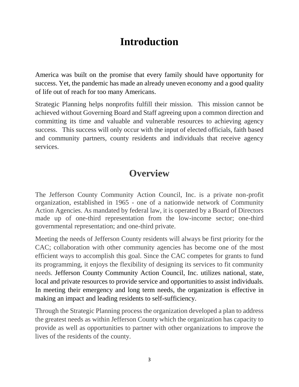# **Introduction**

America was built on the promise that every family should have opportunity for success. Yet, the pandemic has made an already uneven economy and a good quality of life out of reach for too many Americans.

Strategic Planning helps nonprofits fulfill their mission. This mission cannot be achieved without Governing Board and Staff agreeing upon a common direction and committing its time and valuable and vulnerable resources to achieving agency success. This success will only occur with the input of elected officials, faith based and community partners, county residents and individuals that receive agency services.

### **Overview**

The Jefferson County Community Action Council, Inc. is a private non-profit organization, established in 1965 - one of a nationwide network of Community Action Agencies. As mandated by federal law, it is operated by a Board of Directors made up of one-third representation from the low-income sector; one-third governmental representation; and one-third private.

Meeting the needs of Jefferson County residents will always be first priority for the CAC; collaboration with other community agencies has become one of the most efficient ways to accomplish this goal. Since the CAC competes for grants to fund its programming, it enjoys the flexibility of designing its services to fit community needs. Jefferson County Community Action Council, Inc. utilizes national, state, local and private resources to provide service and opportunities to assist individuals. In meeting their emergency and long term needs, the organization is effective in making an impact and leading residents to self-sufficiency.

Through the Strategic Planning process the organization developed a plan to address the greatest needs as within Jefferson County which the organization has capacity to provide as well as opportunities to partner with other organizations to improve the lives of the residents of the county.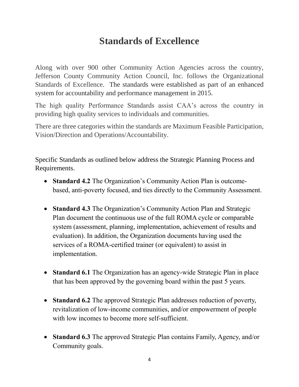## **Standards of Excellence**

Along with over 900 other Community Action Agencies across the country, Jefferson County Community Action Council, Inc. follows the Organizational Standards of Excellence. The standards were established as part of an enhanced system for accountability and performance management in 2015.

The high quality Performance Standards assist CAA's across the country in providing high quality services to individuals and communities.

There are three categories within the standards are Maximum Feasible Participation, Vision/Direction and Operations/Accountability.

Specific Standards as outlined below address the Strategic Planning Process and Requirements.

- **Standard 4.2** The Organization's Community Action Plan is outcomebased, anti-poverty focused, and ties directly to the Community Assessment.
- **Standard 4.3** The Organization's Community Action Plan and Strategic Plan document the continuous use of the full ROMA cycle or comparable system (assessment, planning, implementation, achievement of results and evaluation). In addition, the Organization documents having used the services of a ROMA-certified trainer (or equivalent) to assist in implementation.
- **Standard 6.1** The Organization has an agency-wide Strategic Plan in place that has been approved by the governing board within the past 5 years.
- **Standard 6.2** The approved Strategic Plan addresses reduction of poverty, revitalization of low-income communities, and/or empowerment of people with low incomes to become more self-sufficient.
- **Standard 6.3** The approved Strategic Plan contains Family, Agency, and/or Community goals.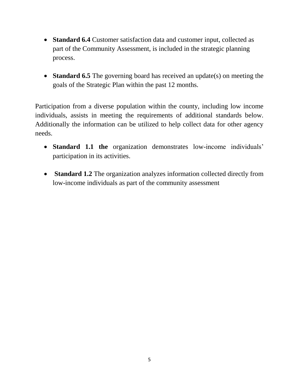- **Standard 6.4** Customer satisfaction data and customer input, collected as part of the Community Assessment, is included in the strategic planning process.
- **Standard 6.5** The governing board has received an update(s) on meeting the goals of the Strategic Plan within the past 12 months.

Participation from a diverse population within the county, including low income individuals, assists in meeting the requirements of additional standards below. Additionally the information can be utilized to help collect data for other agency needs.

- **Standard 1.1 the** organization demonstrates low-income individuals' participation in its activities.
- **Standard 1.2** The organization analyzes information collected directly from low-income individuals as part of the community assessment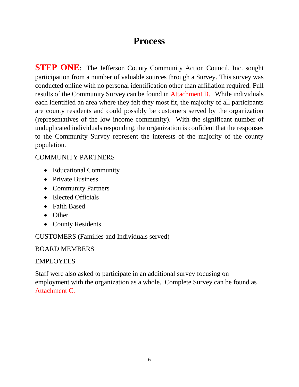### **Process**

**STEP ONE**: The Jefferson County Community Action Council, Inc. sought participation from a number of valuable sources through a Survey. This survey was conducted online with no personal identification other than affiliation required. Full results of the Community Survey can be found in Attachment B. While individuals each identified an area where they felt they most fit, the majority of all participants are county residents and could possibly be customers served by the organization (representatives of the low income community). With the significant number of unduplicated individuals responding, the organization is confident that the responses to the Community Survey represent the interests of the majority of the county population.

#### COMMUNITY PARTNERS

- Educational Community
- Private Business
- Community Partners
- Elected Officials
- Faith Based
- Other
- County Residents

### CUSTOMERS (Families and Individuals served)

#### BOARD MEMBERS

### EMPLOYEES

Staff were also asked to participate in an additional survey focusing on employment with the organization as a whole. Complete Survey can be found as Attachment C.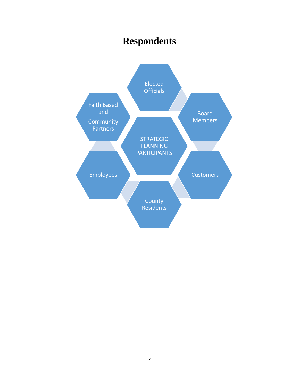# **Respondents**

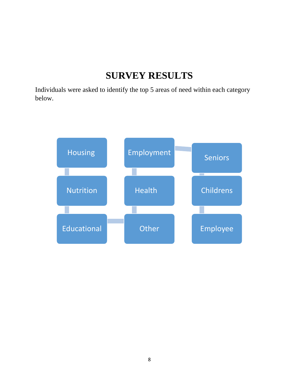# **SURVEY RESULTS**

Individuals were asked to identify the top 5 areas of need within each category below.

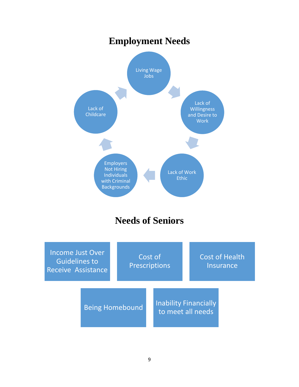# **Employment Needs**



# **Needs of Seniors**

| <b>Income Just Over</b><br><b>Guidelines to</b><br><b>Receive Assistance</b> |                        | Cost of<br><b>Prescriptions</b> |  |                                                   | <b>Cost of Health</b><br><b>Insurance</b> |  |  |
|------------------------------------------------------------------------------|------------------------|---------------------------------|--|---------------------------------------------------|-------------------------------------------|--|--|
|                                                                              | <b>Being Homebound</b> |                                 |  | <b>Inability Financially</b><br>to meet all needs |                                           |  |  |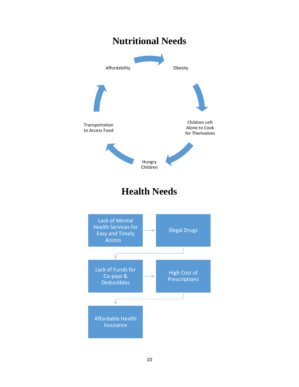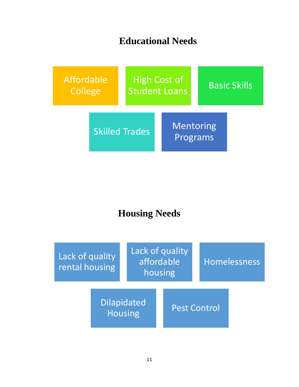# **Educational Needs**



# **Housing Needs**

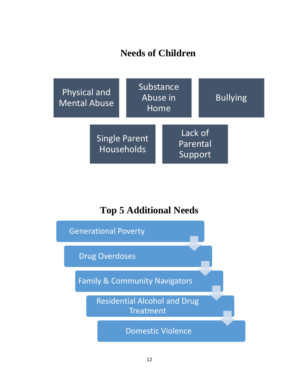# **Needs of Children**



# **Top 5 Additional Needs**

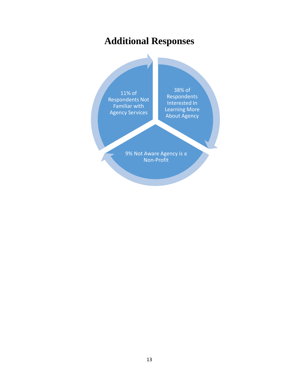# **Additional Responses**

11% of Respondents Not Familiar with Agency Services

38% of Respondents Interested In Learning More About Agency

9% Not Aware Agency is a Non-Profit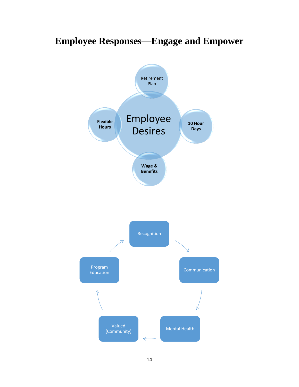# **Employee Responses—Engage and Empower**

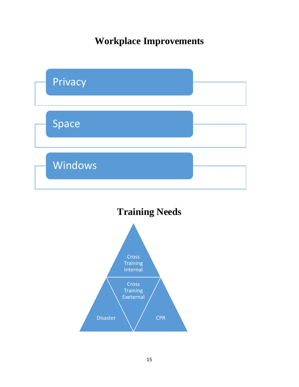**Workplace Improvements**